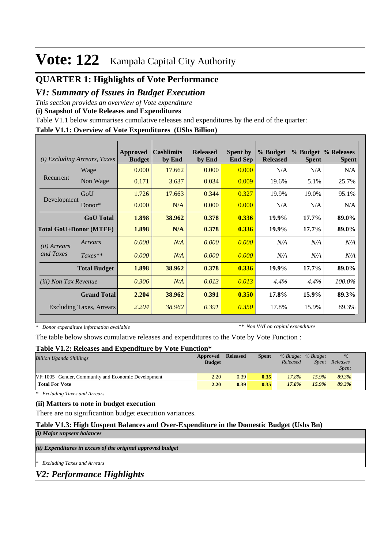## **Vote: 122** Kampala Capital City Authority

## **QUARTER 1: Highlights of Vote Performance**

## *V1: Summary of Issues in Budget Execution*

*This section provides an overview of Vote expenditure* 

**(i) Snapshot of Vote Releases and Expenditures**

Table V1.1 below summarises cumulative releases and expenditures by the end of the quarter:

## **Table V1.1: Overview of Vote Expenditures (UShs Billion)**

| (i)                           | <i>Excluding Arrears, Taxes</i> | <b>Approved</b><br><b>Budget</b> | <b>Cashlimits</b><br>by End | <b>Released</b><br>by End | <b>Spent by</b><br><b>End Sep</b> | % Budget<br><b>Released</b> | <b>Spent</b> | % Budget % Releases<br><b>Spent</b> |
|-------------------------------|---------------------------------|----------------------------------|-----------------------------|---------------------------|-----------------------------------|-----------------------------|--------------|-------------------------------------|
|                               | Wage                            | 0.000                            | 17.662                      | 0.000                     | 0.000                             | N/A                         | N/A          | N/A                                 |
| Recurrent                     | Non Wage                        | 0.171                            | 3.637                       | 0.034                     | 0.009                             | 19.6%                       | 5.1%         | 25.7%                               |
|                               | GoU                             | 1.726                            | 17.663                      | 0.344                     | 0.327                             | 19.9%                       | 19.0%        | 95.1%                               |
| Development                   | $Donor*$                        | 0.000                            | N/A                         | 0.000                     | 0.000                             | N/A                         | N/A          | N/A                                 |
|                               | <b>GoU</b> Total                | 1.898                            | 38.962                      | 0.378                     | 0.336                             | 19.9%                       | 17.7%        | 89.0%                               |
| <b>Total GoU+Donor (MTEF)</b> |                                 | 1.898                            | N/A                         | 0.378                     | 0.336                             | 19.9%                       | $17.7\%$     | 89.0%                               |
| ( <i>ii</i> ) Arrears         | Arrears                         | 0.000                            | N/A                         | 0.000                     | 0.000                             | N/A                         | N/A          | N/A                                 |
| and Taxes                     | $Taxes**$                       | 0.000                            | N/A                         | 0.000                     | 0.000                             | N/A                         | N/A          | N/A                                 |
|                               | <b>Total Budget</b>             | 1.898                            | 38.962                      | 0.378                     | 0.336                             | 19.9%                       | $17.7\%$     | 89.0%                               |
| <i>(iii)</i> Non Tax Revenue  |                                 | 0.306                            | N/A                         | 0.013                     | 0.013                             | $4.4\%$                     | 4.4%         | 100.0%                              |
|                               | <b>Grand Total</b>              | 2.204                            | 38.962                      | 0.391                     | 0.350                             | 17.8%                       | 15.9%        | 89.3%                               |
|                               | <b>Excluding Taxes, Arrears</b> | 2.204                            | 38.962                      | 0.391                     | 0.350                             | 17.8%                       | 15.9%        | 89.3%                               |

*\* Donor expenditure information available*

*\*\* Non VAT on capital expenditure*

The table below shows cumulative releases and expenditures to the Vote by Vote Function :

#### **Table V1.2: Releases and Expenditure by Vote Function\***

| <b>Billion Uganda Shillings</b>                     | Approved<br><b>Budget</b> | <b>Released</b> | <b>Spent</b> | Released | % Budget % Budget | $\frac{0}{6}$<br>Spent Releases<br><b>Spent</b> |  |
|-----------------------------------------------------|---------------------------|-----------------|--------------|----------|-------------------|-------------------------------------------------|--|
| [VF:1005 Gender, Community and Economic Development | 2.20                      | 0.39            | 0.35         | 17.8%    | 15.9%             | 89.3%                                           |  |
| <b>Total For Vote</b>                               | 2.20                      | 0.39            | 0.35         | 17.8%    | 15.9%             | 89.3%                                           |  |

*\* Excluding Taxes and Arrears*

## **(ii) Matters to note in budget execution**

There are no significantion budget execution variances.

#### **Table V1.3: High Unspent Balances and Over-Expenditure in the Domestic Budget (Ushs Bn)** *(i) Major unpsent balances*

*(ii) Expenditures in excess of the original approved budget*

*\* Excluding Taxes and Arrears*

*V2: Performance Highlights*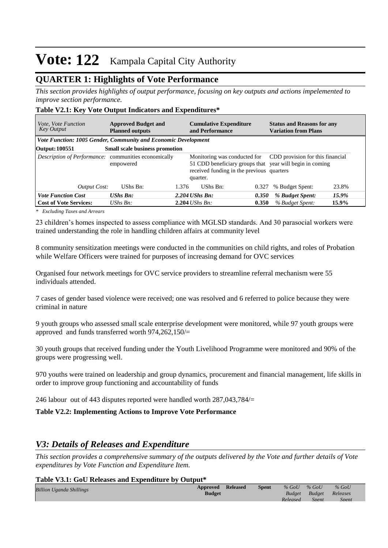# **Vote: 122** Kampala Capital City Authority

## **QUARTER 1: Highlights of Vote Performance**

*This section provides highlights of output performance, focusing on key outputs and actions impelemented to improve section performance.*

## **Table V2.1: Key Vote Output Indicators and Expenditures\***

| <b>Approved Budget and</b><br><i>Vote, Vote Function</i><br>Key Output<br><b>Planned outputs</b> |                                       |       | <b>Cumulative Expenditure</b><br>and Performance                                                                                                  |       | <b>Status and Reasons for any</b><br><b>Variation from Plans</b> |       |  |  |
|--------------------------------------------------------------------------------------------------|---------------------------------------|-------|---------------------------------------------------------------------------------------------------------------------------------------------------|-------|------------------------------------------------------------------|-------|--|--|
| Vote Function: 1005 Gender, Community and Economic Development                                   |                                       |       |                                                                                                                                                   |       |                                                                  |       |  |  |
| Output: 100551                                                                                   | <b>Small scale business promotion</b> |       |                                                                                                                                                   |       |                                                                  |       |  |  |
| Description of Performance: communities economically                                             | empowered                             |       | Monitoring was conducted for<br>51 CDD beneficiary groups that year will begin in coming<br>received funding in the previous quarters<br>quarter. |       | CDD provision for this financial                                 |       |  |  |
| <b>Output Cost:</b>                                                                              | UShs Bn:                              | 1.376 | UShs Bn:                                                                                                                                          | 0.327 | % Budget Spent:                                                  | 23.8% |  |  |
| <b>Vote Function Cost</b>                                                                        | <b>UShs Bn:</b>                       |       | $2.204$ UShs Bn:                                                                                                                                  | 0.350 | % Budget Spent:                                                  | 15.9% |  |  |
| <b>Cost of Vote Services:</b>                                                                    | UShs $B_n$ :                          |       | $2.204$ UShs Bn:                                                                                                                                  | 0.350 | % Budget Spent:                                                  | 15.9% |  |  |

*\* Excluding Taxes and Arrears*

23 children's homes inspected to assess compliance with MGLSD standards. And 30 parasocial workers were trained understanding the role in handling children affairs at community level

8 community sensitization meetings were conducted in the communities on child rights, and roles of Probation while Welfare Officers were trained for purposes of increasing demand for OVC services

Organised four network meetings for OVC service providers to streamline referral mechanism were 55 individuals attended.

7 cases of gender based violence were received; one was resolved and 6 referred to police because they were criminal in nature

9 youth groups who assessed small scale enterprise development were monitored, while 97 youth groups were approved and funds transferred worth 974,262,150/=

30 youth groups that received funding under the Youth Livelihood Programme were monitored and 90% of the groups were progressing well.

970 youths were trained on leadership and group dynamics, procurement and financial management, life skills in order to improve group functioning and accountability of funds

246 labour out of 443 disputes reported were handled worth 287,043,784/=

**Table V2.2: Implementing Actions to Improve Vote Performance**

## *V3: Details of Releases and Expenditure*

*This section provides a comprehensive summary of the outputs delivered by the Vote and further details of Vote expenditures by Vote Function and Expenditure Item.*

#### **Table V3.1: GoU Releases and Expenditure by Output\***

| <b>Billion Uganda Shillings</b> | Approved<br><b>Budget</b> | <b>Released</b> | <b>Spent</b> | $%$ GoU<br>Budget | $\%$ GoU<br>Budget | $%$ GoU<br>Releases |  |
|---------------------------------|---------------------------|-----------------|--------------|-------------------|--------------------|---------------------|--|
|                                 |                           |                 |              | Released          | <b>Spent</b>       | Spent               |  |